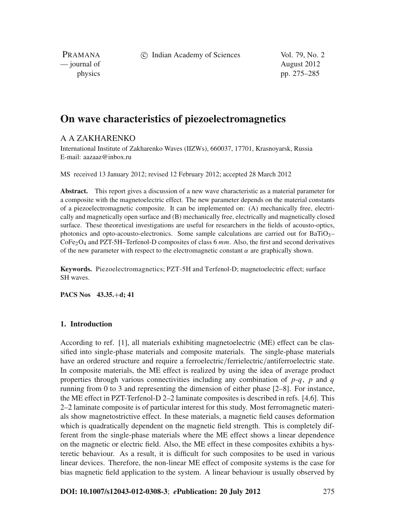c Indian Academy of Sciences Vol. 79, No. 2

PRAMANA — journal of August 2012

physics pp. 275–285

# **On wave characteristics of piezoelectromagnetics**

## A A ZAKHARENKO

International Institute of Zakharenko Waves (IIZWs), 660037, 17701, Krasnoyarsk, Russia E-mail: aazaaz@inbox.ru

MS received 13 January 2012; revised 12 February 2012; accepted 28 March 2012

**Abstract.** This report gives a discussion of a new wave characteristic as a material parameter for a composite with the magnetoelectric effect. The new parameter depends on the material constants of a piezoelectromagnetic composite. It can be implemented on: (A) mechanically free, electrically and magnetically open surface and (B) mechanically free, electrically and magnetically closed surface. These theoretical investigations are useful for researchers in the fields of acousto-optics, photonics and opto-acousto-electronics. Some sample calculations are carried out for  $BaTiO<sub>3</sub>$ CoFe2O4 and PZT-5H–Terfenol-D composites of class 6 *mm*. Also, the first and second derivatives of the new parameter with respect to the electromagnetic constant  $\alpha$  are graphically shown.

**Keywords.** Piezoelectromagnetics; PZT-5H and Terfenol-D; magnetoelectric effect; surface SH waves.

**PACS Nos 43.35.**+**d; 41**

#### **1. Introduction**

According to ref. [1], all materials exhibiting magnetoelectric (ME) effect can be classified into single-phase materials and composite materials. The single-phase materials have an ordered structure and require a ferroelectric/ferrielectric/antiferroelectric state. In composite materials, the ME effect is realized by using the idea of average product properties through various connectivities including any combination of  $p-q$ ,  $p$  and  $q$ running from 0 to 3 and representing the dimension of either phase [2–8]. For instance, the ME effect in PZT-Terfenol-D 2–2 laminate composites is described in refs. [4,6]. This 2–2 laminate composite is of particular interest for this study. Most ferromagnetic materials show magnetostrictive effect. In these materials, a magnetic field causes deformation which is quadratically dependent on the magnetic field strength. This is completely different from the single-phase materials where the ME effect shows a linear dependence on the magnetic or electric field. Also, the ME effect in these composites exhibits a hysteretic behaviour. As a result, it is difficult for such composites to be used in various linear devices. Therefore, the non-linear ME effect of composite systems is the case for bias magnetic field application to the system. A linear behaviour is usually observed by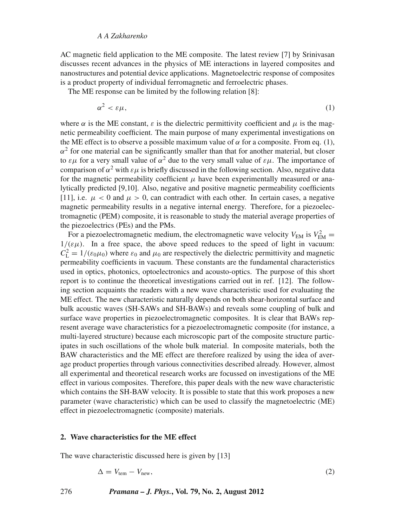#### *A A Zakharenko*

AC magnetic field application to the ME composite. The latest review [7] by Srinivasan discusses recent advances in the physics of ME interactions in layered composites and nanostructures and potential device applications. Magnetoelectric response of composites is a product property of individual ferromagnetic and ferroelectric phases.

The ME response can be limited by the following relation [8]:

$$
\alpha^2 < \varepsilon \mu,\tag{1}
$$

where  $\alpha$  is the ME constant,  $\varepsilon$  is the dielectric permittivity coefficient and  $\mu$  is the magnetic permeability coefficient. The main purpose of many experimental investigations on the ME effect is to observe a possible maximum value of  $\alpha$  for a composite. From eq. (1),  $\alpha^2$  for one material can be significantly smaller than that for another material, but closer to  $\varepsilon\mu$  for a very small value of  $\alpha^2$  due to the very small value of  $\varepsilon\mu$ . The importance of comparison of  $\alpha^2$  with  $\varepsilon \mu$  is briefly discussed in the following section. Also, negative data for the magnetic permeability coefficient  $\mu$  have been experimentally measured or analytically predicted [9,10]. Also, negative and positive magnetic permeability coefficients [11], i.e.  $\mu < 0$  and  $\mu > 0$ , can contradict with each other. In certain cases, a negative magnetic permeability results in a negative internal energy. Therefore, for a piezoelectromagnetic (PEM) composite, it is reasonable to study the material average properties of the piezoelectrics (PEs) and the PMs.

For a piezoelectromagnetic medium, the electromagnetic wave velocity  $V_{EM}$  is  $V_{EM}^2$  $1/(\varepsilon \mu)$ . In a free space, the above speed reduces to the speed of light in vacuum:  $C_{\rm L}^2 = 1/(\varepsilon_0 \mu_0)$  where  $\varepsilon_0$  and  $\mu_0$  are respectively the dielectric permittivity and magnetic permeability coefficients in vacuum. These constants are the fundamental characteristics used in optics, photonics, optoelectronics and acousto-optics. The purpose of this short report is to continue the theoretical investigations carried out in ref. [12]. The following section acquaints the readers with a new wave characteristic used for evaluating the ME effect. The new characteristic naturally depends on both shear-horizontal surface and bulk acoustic waves (SH-SAWs and SH-BAWs) and reveals some coupling of bulk and surface wave properties in piezoelectromagnetic composites. It is clear that BAWs represent average wave characteristics for a piezoelectromagnetic composite (for instance, a multi-layered structure) because each microscopic part of the composite structure participates in such oscillations of the whole bulk material. In composite materials, both the BAW characteristics and the ME effect are therefore realized by using the idea of average product properties through various connectivities described already. However, almost all experimental and theoretical research works are focussed on investigations of the ME effect in various composites. Therefore, this paper deals with the new wave characteristic which contains the SH-BAW velocity. It is possible to state that this work proposes a new parameter (wave characteristic) which can be used to classify the magnetoelectric (ME) effect in piezoelectromagnetic (composite) materials.

#### **2. Wave characteristics for the ME effect**

The wave characteristic discussed here is given by [13]

$$
\Delta = V_{\text{tem}} - V_{\text{new}},\tag{2}
$$

276 *Pramana – J. Phys.***, Vol. 79, No. 2, August 2012**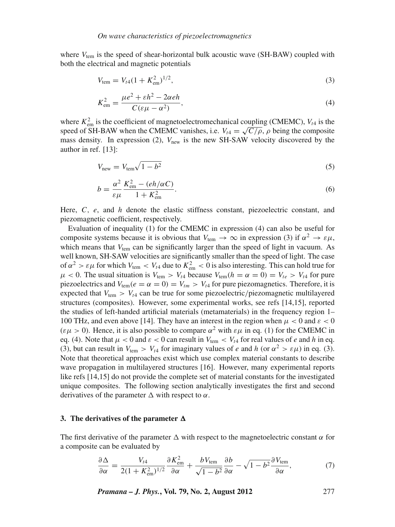where  $V_{\text{tem}}$  is the speed of shear-horizontal bulk acoustic wave (SH-BAW) coupled with both the electrical and magnetic potentials

$$
V_{\text{tem}} = V_{t4} (1 + K_{\text{em}}^2)^{1/2},\tag{3}
$$

$$
K_{\rm em}^2 = \frac{\mu e^2 + \varepsilon h^2 - 2\alpha e h}{C(\varepsilon \mu - \alpha^2)},\tag{4}
$$

where  $K_{\text{em}}^2$  is the coefficient of magnetoelectromechanical coupling (CMEMC),  $V_{t4}$  is the speed of SH-BAW when the CMEMC vanishes, i.e.  $V_{t4} = \sqrt{\frac{C}{\rho}}$ ,  $\rho$  being the composite mass density. In expression  $(2)$ ,  $V_{\text{new}}$  is the new SH-SAW velocity discovered by the author in ref. [13]:

$$
V_{\text{new}} = V_{\text{tem}} \sqrt{1 - b^2} \tag{5}
$$

$$
b = \frac{\alpha^2}{\varepsilon \mu} \frac{K_{\rm em}^2 - (eh/\alpha C)}{1 + K_{\rm em}^2}.
$$
 (6)

Here, *C*, *e*, and *h* denote the elastic stiffness constant, piezoelectric constant, and piezomagnetic coefficient, respectively.

Evaluation of inequality (1) for the CMEMC in expression (4) can also be useful for composite systems because it is obvious that  $V_{\text{tem}} \to \infty$  in expression (3) if  $\alpha^2 \to \varepsilon \mu$ , which means that  $V_{tem}$  can be significantly larger than the speed of light in vacuum. As well known, SH-SAW velocities are significantly smaller than the speed of light. The case of  $\alpha^2 > \varepsilon \mu$  for which  $V_{\text{tem}} < V_{t4}$  due to  $K_{\text{em}}^2 < 0$  is also interesting. This can hold true for  $\mu$  < 0. The usual situation is  $V_{\text{tem}} > V_{t4}$  because  $V_{\text{tem}}(h = \alpha = 0) = V_{te} > V_{t4}$  for pure piezoelectrics and  $V_{tem}(e = \alpha = 0) = V_{tm} > V_{t4}$  for pure piezomagnetics. Therefore, it is expected that  $V_{\text{tem}} > V_{t4}$  can be true for some piezoelectric/piezomagnetic multilayered structures (composites). However, some experimental works, see refs [14,15], reported the studies of left-handed artificial materials (metamaterials) in the frequency region 1– 100 THz, and even above [14]. They have an interest in the region when  $\mu < 0$  and  $\varepsilon < 0$  $(\varepsilon \mu > 0)$ . Hence, it is also possible to compare  $\alpha^2$  with  $\varepsilon \mu$  in eq. (1) for the CMEMC in eq. (4). Note that  $\mu < 0$  and  $\varepsilon < 0$  can result in  $V_{\text{tem}} < V_{t4}$  for real values of *e* and *h* in eq. (3), but can result in  $V_{\text{tem}} > V_{t4}$  for imaginary values of *e* and *h* (or  $\alpha^2 > \varepsilon \mu$ ) in eq. (3). Note that theoretical approaches exist which use complex material constants to describe wave propagation in multilayered structures [16]. However, many experimental reports like refs [14,15] do not provide the complete set of material constants for the investigated unique composites. The following section analytically investigates the first and second derivatives of the parameter  $\Delta$  with respect to  $\alpha$ .

#### 3. The derivatives of the parameter  $\Delta$

The first derivative of the parameter  $\Delta$  with respect to the magnetoelectric constant  $\alpha$  for a composite can be evaluated by

$$
\frac{\partial \Delta}{\partial \alpha} = \frac{V_{t4}}{2(1 + K_{\text{em}}^2)^{1/2}} \frac{\partial K_{\text{em}}^2}{\partial \alpha} + \frac{bV_{\text{tem}}}{\sqrt{1 - b^2}} \frac{\partial b}{\partial \alpha} - \sqrt{1 - b^2} \frac{\partial V_{\text{tem}}}{\partial \alpha},\tag{7}
$$

*Pramana – J. Phys.***, Vol. 79, No. 2, August 2012** 277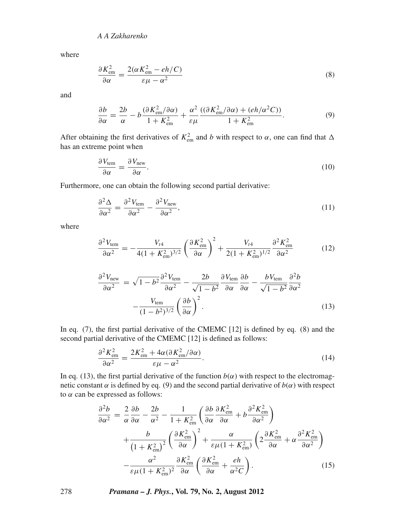where

$$
\frac{\partial K_{\rm em}^2}{\partial \alpha} = \frac{2(\alpha K_{\rm em}^2 - eh/C)}{\varepsilon \mu - \alpha^2} \tag{8}
$$

and

$$
\frac{\partial b}{\partial \alpha} = \frac{2b}{\alpha} - b \frac{(\partial K_{\rm em}^2 / \partial \alpha)}{1 + K_{\rm em}^2} + \frac{\alpha^2}{\varepsilon \mu} \frac{((\partial K_{\rm em}^2 / \partial \alpha) + (eh/\alpha^2 C))}{1 + K_{\rm em}^2}.
$$
(9)

After obtaining the first derivatives of  $K_{\text{em}}^2$  and *b* with respect to  $\alpha$ , one can find that  $\Delta$ has an extreme point when

$$
\frac{\partial V_{\text{tem}}}{\partial \alpha} = \frac{\partial V_{\text{new}}}{\partial \alpha}.
$$
\n(10)

Furthermore, one can obtain the following second partial derivative:

$$
\frac{\partial^2 \Delta}{\partial \alpha^2} = \frac{\partial^2 V_{\text{tem}}}{\partial \alpha^2} - \frac{\partial^2 V_{\text{new}}}{\partial \alpha^2},\tag{11}
$$

where

$$
\frac{\partial^2 V_{\text{tem}}}{\partial \alpha^2} = -\frac{V_{t4}}{4(1 + K_{\text{em}}^2)^{3/2}} \left(\frac{\partial K_{\text{em}}^2}{\partial \alpha}\right)^2 + \frac{V_{t4}}{2(1 + K_{\text{em}}^2)^{1/2}} \frac{\partial^2 K_{\text{em}}^2}{\partial \alpha^2}
$$
(12)

$$
\frac{\partial^2 V_{\text{new}}}{\partial \alpha^2} = \sqrt{1 - b^2} \frac{\partial^2 V_{\text{tem}}}{\partial \alpha^2} - \frac{2b}{\sqrt{1 - b^2}} \frac{\partial V_{\text{tem}}}{\partial \alpha} \frac{\partial b}{\partial \alpha} - \frac{b V_{\text{tem}}}{\sqrt{1 - b^2}} \frac{\partial^2 b}{\partial \alpha^2} - \frac{V_{\text{tem}}}{(1 - b^2)^{3/2}} \left(\frac{\partial b}{\partial \alpha}\right)^2.
$$
\n(13)

In eq. (7), the first partial derivative of the CMEMC [12] is defined by eq. (8) and the second partial derivative of the CMEMC [12] is defined as follows:

$$
\frac{\partial^2 K_{\rm em}^2}{\partial \alpha^2} = \frac{2K_{\rm em}^2 + 4\alpha(\partial K_{\rm em}^2/\partial \alpha)}{\varepsilon \mu - \alpha^2}.
$$
\n(14)

In eq. (13), the first partial derivative of the function  $b(\alpha)$  with respect to the electromagnetic constant  $\alpha$  is defined by eq. (9) and the second partial derivative of  $b(\alpha)$  with respect to  $\alpha$  can be expressed as follows:

$$
\frac{\partial^2 b}{\partial \alpha^2} = \frac{2}{\alpha} \frac{\partial b}{\partial \alpha} - \frac{2b}{\alpha^2} - \frac{1}{1 + K_{\text{em}}^2} \left( \frac{\partial b}{\partial \alpha} \frac{\partial K_{\text{em}}^2}{\partial \alpha} + b \frac{\partial^2 K_{\text{em}}^2}{\partial \alpha^2} \right) \n+ \frac{b}{\left( 1 + K_{\text{em}}^2 \right)^2} \left( \frac{\partial K_{\text{em}}^2}{\partial \alpha} \right)^2 + \frac{\alpha}{\varepsilon \mu (1 + K_{\text{em}}^2)} \left( 2 \frac{\partial K_{\text{em}}^2}{\partial \alpha} + \alpha \frac{\partial^2 K_{\text{em}}^2}{\partial \alpha^2} \right) \n- \frac{\alpha^2}{\varepsilon \mu (1 + K_{\text{em}}^2)^2} \frac{\partial K_{\text{em}}^2}{\partial \alpha} \left( \frac{\partial K_{\text{em}}^2}{\partial \alpha} + \frac{eh}{\alpha^2 C} \right).
$$
\n(15)

278 *Pramana – J. Phys.***, Vol. 79, No. 2, August 2012**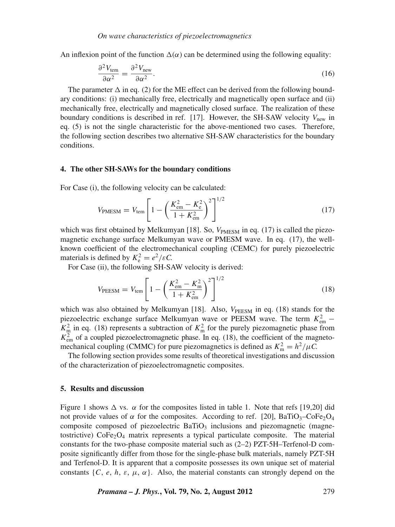An inflexion point of the function  $\Delta(\alpha)$  can be determined using the following equality:

$$
\frac{\partial^2 V_{\text{tem}}}{\partial \alpha^2} = \frac{\partial^2 V_{\text{new}}}{\partial \alpha^2}.
$$
\n(16)

The parameter  $\Delta$  in eq. (2) for the ME effect can be derived from the following boundary conditions: (i) mechanically free, electrically and magnetically open surface and (ii) mechanically free, electrically and magnetically closed surface. The realization of these boundary conditions is described in ref. [17]. However, the SH-SAW velocity  $V_{\text{new}}$  in eq. (5) is not the single characteristic for the above-mentioned two cases. Therefore, the following section describes two alternative SH-SAW characteristics for the boundary conditions.

#### **4. The other SH-SAWs for the boundary conditions**

For Case (i), the following velocity can be calculated:

$$
V_{\text{PMESM}} = V_{\text{tem}} \left[ 1 - \left( \frac{K_{\text{em}}^2 - K_{\text{e}}^2}{1 + K_{\text{em}}^2} \right)^2 \right]^{1/2} \tag{17}
$$

which was first obtained by Melkumyan [18]. So,  $V_{\text{PMESM}}$  in eq. (17) is called the piezomagnetic exchange surface Melkumyan wave or PMESM wave. In eq. (17), the wellknown coefficient of the electromechanical coupling (CEMC) for purely piezoelectric materials is defined by  $K_e^2 = e^2/\varepsilon C$ .

For Case (ii), the following SH-SAW velocity is derived:

$$
V_{\text{PEESM}} = V_{\text{tem}} \left[ 1 - \left( \frac{K_{\text{em}}^2 - K_{\text{m}}^2}{1 + K_{\text{em}}^2} \right)^2 \right]^{1/2} \tag{18}
$$

which was also obtained by Melkumyan [18]. Also,  $V_{\text{PEESM}}$  in eq. (18) stands for the piezoelectric exchange surface Melkumyan wave or PEESM wave. The term  $K_{\text{em}}^2$  –  $K_{\text{m}}^2$  in eq. (18) represents a subtraction of  $K_{\text{m}}^2$  for the purely piezomagnetic phase from  $K_{\text{em}}^2$  of a coupled piezoelectromagnetic phase. In eq. (18), the coefficient of the magnetomechanical coupling (CMMC) for pure piezomagnetics is defined as  $K_m^2 = h^2/\mu C$ .

The following section provides some results of theoretical investigations and discussion of the characterization of piezoelectromagnetic composites.

#### **5. Results and discussion**

Figure 1 shows  $\Delta$  vs.  $\alpha$  for the composites listed in table 1. Note that refs [19,20] did not provide values of  $\alpha$  for the composites. According to ref. [20], BaTiO<sub>3</sub>–CoFe<sub>2</sub>O<sub>4</sub> composite composed of piezoelectric  $BaTiO<sub>3</sub>$  inclusions and piezomagnetic (magnetostrictive)  $\text{CoFe}_2\text{O}_4$  matrix represents a typical particulate composite. The material constants for the two-phase composite material such as (2–2) PZT-5H–Terfenol-D composite significantly differ from those for the single-phase bulk materials, namely PZT-5H and Terfenol-D. It is apparent that a composite possesses its own unique set of material constants  $\{C, e, h, \varepsilon, \mu, \alpha\}$ . Also, the material constants can strongly depend on the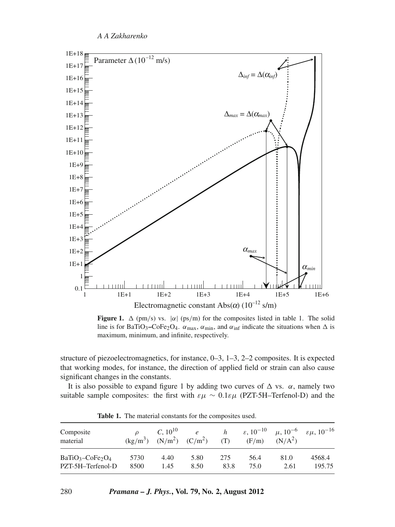

**Figure 1.**  $\Delta$  (pm/s) vs.  $|\alpha|$  (ps/m) for the composites listed in table 1. The solid line is for BaTiO<sub>3</sub>–CoFe<sub>2</sub>O<sub>4</sub>.  $\alpha_{\text{max}}$ ,  $\alpha_{\text{min}}$ , and  $\alpha_{\text{inf}}$  indicate the situations when  $\Delta$  is maximum, minimum, and infinite, respectively.

structure of piezoelectromagnetics, for instance, 0–3, 1–3, 2–2 composites. It is expected that working modes, for instance, the direction of applied field or strain can also cause significant changes in the constants.

It is also possible to expand figure 1 by adding two curves of  $\Delta$  vs.  $\alpha$ , namely two suitable sample composites: the first with  $\varepsilon \mu \sim 0.1 \varepsilon \mu$  (PZT-5H–Terfenol-D) and the

| Composite<br>material | $(kg/m^3)$ | $C, 10^{10}$ | $\epsilon$<br>$(N/m^2)$ $(C/m^2)$ | h<br>(T) | $\varepsilon$ , 10 <sup>-10</sup><br>(F/m) | $\mu$ , 10 <sup>-6</sup><br>(N/A <sup>2</sup> ) | $\varepsilon \mu$ , 10 <sup>-16</sup> |
|-----------------------|------------|--------------|-----------------------------------|----------|--------------------------------------------|-------------------------------------------------|---------------------------------------|
| $BaTiO3-CoFe2O4$      | 5730       | 4.40         | 5.80                              | 275      | 56.4                                       | 81.0                                            | 4568.4                                |
| PZT-5H-Terfenol-D     | 8500       | 1.45         | 8.50                              | 83.8     | 75.0                                       | 2.61                                            | 195.75                                |

**Table 1.** The material constants for the composites used.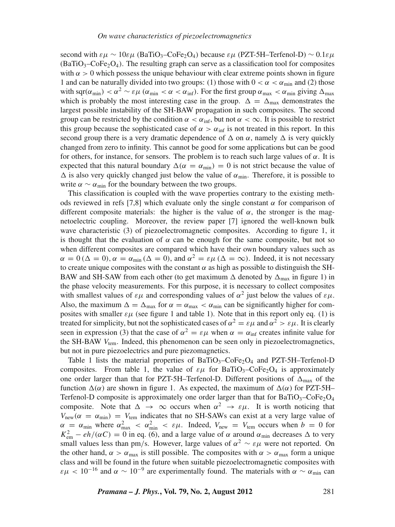second with  $\epsilon u \sim 10 \epsilon \mu$  (BaTiO<sub>3</sub>–CoFe<sub>2</sub>O<sub>4</sub>) because  $\epsilon \mu$  (PZT-5H–Terfenol-D) ~ 0.1 $\epsilon \mu$  $(BaTiO<sub>3</sub>–CoFe<sub>2</sub>O<sub>4</sub>)$ . The resulting graph can serve as a classification tool for composites with  $\alpha > 0$  which possess the unique behaviour with clear extreme points shown in figure 1 and can be naturally divided into two groups: (1) those with  $0 < \alpha < \alpha_{\min}$  and (2) those with sqr( $\alpha_{\min}$ ) <  $\alpha^2 \sim \varepsilon \mu$  ( $\alpha_{\min} < \alpha < \alpha_{\inf}$ ). For the first group  $\alpha_{\max} < \alpha_{\min}$  giving  $\Delta_{\max}$ which is probably the most interesting case in the group.  $\Delta = \Delta_{\text{max}}$  demonstrates the largest possible instability of the SH-BAW propagation in such composites. The second group can be restricted by the condition  $\alpha < \alpha_{\text{inf}}$ , but not  $\alpha < \infty$ . It is possible to restrict this group because the sophisticated case of  $\alpha > \alpha_{\text{inf}}$  is not treated in this report. In this second group there is a very dramatic dependence of  $\Delta$  on  $\alpha$ , namely  $\Delta$  is very quickly changed from zero to infinity. This cannot be good for some applications but can be good for others, for instance, for sensors. The problem is to reach such large values of  $\alpha$ . It is expected that this natural boundary  $\Delta(\alpha = \alpha_{min}) = 0$  is not strict because the value of  $\Delta$  is also very quickly changed just below the value of  $\alpha_{\min}$ . Therefore, it is possible to write  $\alpha \sim \alpha_{\min}$  for the boundary between the two groups.

This classification is coupled with the wave properties contrary to the existing methods reviewed in refs [7,8] which evaluate only the single constant  $\alpha$  for comparison of different composite materials: the higher is the value of  $\alpha$ , the stronger is the magnetoelectric coupling. Moreover, the review paper [7] ignored the well-known bulk wave characteristic (3) of piezoelectromagnetic composites. According to figure 1, it is thought that the evaluation of  $\alpha$  can be enough for the same composite, but not so when different composites are compared which have their own boundary values such as  $\alpha = 0$  ( $\Delta = 0$ ),  $\alpha = \alpha_{\min}$  ( $\Delta = 0$ ), and  $\alpha^2 = \varepsilon \mu$  ( $\Delta = \infty$ ). Indeed, it is not necessary to create unique composites with the constant  $\alpha$  as high as possible to distinguish the SH-BAW and SH-SAW from each other (to get maximum  $\Delta$  denoted by  $\Delta_{\text{max}}$  in figure 1) in the phase velocity measurements. For this purpose, it is necessary to collect composites with smallest values of  $\varepsilon\mu$  and corresponding values of  $\alpha^2$  just below the values of  $\varepsilon\mu$ . Also, the maximum  $\Delta = \Delta_{\text{max}}$  for  $\alpha = \alpha_{\text{max}} < \alpha_{\text{min}}$  can be significantly higher for composites with smaller  $\varepsilon\mu$  (see figure 1 and table 1). Note that in this report only eq. (1) is treated for simplicity, but not the sophisticated cases of  $\alpha^2 = \varepsilon \mu$  and  $\alpha^2 > \varepsilon \mu$ . It is clearly seen in expression (3) that the case of  $\alpha^2 = \varepsilon \mu$  when  $\alpha = \alpha_{\text{inf}}$  creates infinite value for the SH-BAW *V*tem. Indeed, this phenomenon can be seen only in piezoelectromagnetics, but not in pure piezoelectrics and pure piezomagnetics.

Table 1 lists the material properties of  $BaTiO<sub>3</sub>-CoFe<sub>2</sub>O<sub>4</sub>$  and PZT-5H–Terfenol-D composites. From table 1, the value of  $\varepsilon \mu$  for BaTiO<sub>3</sub>–CoFe<sub>2</sub>O<sub>4</sub> is approximately one order larger than that for PZT-5H–Terfenol-D. Different positions of  $\Delta_{\text{max}}$  of the function  $\Delta(\alpha)$  are shown in figure 1. As expected, the maximum of  $\Delta(\alpha)$  for PZT-5H– Terfenol-D composite is approximately one order larger than that for  $BaTiO<sub>3</sub>-CoFe<sub>2</sub>O<sub>4</sub>$ composite. Note that  $\Delta \rightarrow \infty$  occurs when  $\alpha^2 \rightarrow \varepsilon \mu$ . It is worth noticing that  $V_{\text{new}}(\alpha = \alpha_{\text{min}}) = V_{\text{tem}}$  indicates that no SH-SAWs can exist at a very large value of  $\alpha = \alpha_{\min}$  where  $\alpha_{\max}^2 < \alpha_{\min}^2 < \varepsilon \mu$ . Indeed,  $V_{\text{new}} = V_{\text{tem}}$  occurs when  $b = 0$  for  $K_{\text{em}}^2 - eh/(\alpha C) = 0$  in eq. (6), and a large value of  $\alpha$  around  $\alpha_{\text{min}}$  decreases  $\Delta$  to very small values less than pm/s. However, large values of  $\alpha^2 \sim \varepsilon \mu$  were not reported. On the other hand,  $\alpha > \alpha_{\text{max}}$  is still possible. The composites with  $\alpha > \alpha_{\text{max}}$  form a unique class and will be found in the future when suitable piezoelectromagnetic composites with  $\varepsilon \mu$  < 10<sup>-16</sup> and  $\alpha \sim 10^{-9}$  are experimentally found. The materials with  $\alpha \sim \alpha_{\min}$  can

*Pramana – J. Phys.***, Vol. 79, No. 2, August 2012** 281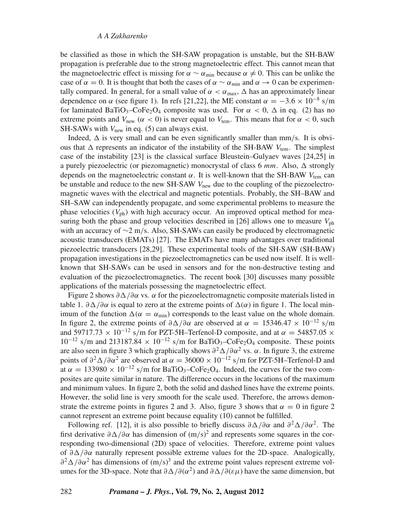be classified as those in which the SH-SAW propagation is unstable, but the SH-BAW propagation is preferable due to the strong magnetoelectric effect. This cannot mean that the magnetoelectric effect is missing for  $\alpha \sim \alpha_{\min}$  because  $\alpha \neq 0$ . This can be unlike the case of  $\alpha = 0$ . It is thought that both the cases of  $\alpha \sim \alpha_{\min}$  and  $\alpha \to 0$  can be experimentally compared. In general, for a small value of  $\alpha < \alpha_{\text{max}}$ ,  $\Delta$  has an approximately linear dependence on  $\alpha$  (see figure 1). In refs [21,22], the ME constant  $\alpha = -3.6 \times 10^{-8}$  s/m for laminated BaTiO<sub>3</sub>–CoFe<sub>2</sub>O<sub>4</sub> composite was used. For  $\alpha < 0$ ,  $\Delta$  in eq. (2) has no extreme points and  $V_{\text{new}}$  ( $\alpha < 0$ ) is never equal to  $V_{\text{tem}}$ . This means that for  $\alpha < 0$ , such SH-SAWs with  $V_{\text{new}}$  in eq. (5) can always exist.

Indeed,  $\Delta$  is very small and can be even significantly smaller than mm/s. It is obvious that  $\Delta$  represents an indicator of the instability of the SH-BAW  $V_{\text{tem}}$ . The simplest case of the instability [23] is the classical surface Bleustein–Gulyaev waves [24,25] in a purely piezoelectric (or piezomagnetic) monocrystal of class  $6 \, mm$ . Also,  $\Delta$  strongly depends on the magnetoelectric constant  $\alpha$ . It is well-known that the SH-BAW  $V_{\text{tem}}$  can be unstable and reduce to the new SH-SAW  $V_{\text{new}}$  due to the coupling of the piezoelectromagnetic waves with the electrical and magnetic potentials. Probably, the SH–BAW and SH–SAW can independently propagate, and some experimental problems to measure the phase velocities  $(V_{ph})$  with high accuracy occur. An improved optical method for measuring both the phase and group velocities described in [26] allows one to measure  $V_{\text{ph}}$ with an accuracy of ∼2 m/s. Also, SH-SAWs can easily be produced by electromagnetic acoustic transducers (EMATs) [27]. The EMATs have many advantages over traditional piezoelectric transducers [28,29]. These experimental tools of the SH-SAW (SH-BAW) propagation investigations in the piezoelectromagnetics can be used now itself. It is wellknown that SH-SAWs can be used in sensors and for the non-destructive testing and evaluation of the piezoelectromagnetics. The recent book [30] discusses many possible applications of the materials possessing the magnetoelectric effect.

Figure 2 shows  $\partial \Delta/\partial \alpha$  vs.  $\alpha$  for the piezoelectromagnetic composite materials listed in table 1.  $\partial \Delta/\partial \alpha$  is equal to zero at the extreme points of  $\Delta(\alpha)$  in figure 1. The local minimum of the function  $\Delta(\alpha = \alpha_{\min})$  corresponds to the least value on the whole domain. In figure 2, the extreme points of  $\partial \Delta/\partial \alpha$  are observed at  $\alpha = 15346.47 \times 10^{-12}$  s/m and 59717.73  $\times$  10<sup>-12</sup> s/m for PZT-5H–Terfenol-D composite, and at  $\alpha$  = 54857.05  $\times$  $10^{-12}$  s/m and 213187.84 ×  $10^{-12}$  s/m for BaTiO<sub>3</sub>–CoFe<sub>2</sub>O<sub>4</sub> composite. These points are also seen in figure 3 which graphically shows  $\partial^2 \Delta / \partial \alpha^2$  vs.  $\alpha$ . In figure 3, the extreme points of  $\partial^2\Delta/\partial\alpha^2$  are observed at  $\alpha = 36000 \times 10^{-12}$  s/m for PZT-5H–Terfenol-D and at  $\alpha = 133980 \times 10^{-12}$  s/m for BaTiO<sub>3</sub>–CoFe<sub>2</sub>O<sub>4</sub>. Indeed, the curves for the two composites are quite similar in nature. The difference occurs in the locations of the maximum and minimum values. In figure 2, both the solid and dashed lines have the extreme points. However, the solid line is very smooth for the scale used. Therefore, the arrows demonstrate the extreme points in figures 2 and 3. Also, figure 3 shows that  $\alpha = 0$  in figure 2 cannot represent an extreme point because equality (10) cannot be fulfilled.

Following ref. [12], it is also possible to briefly discuss  $\partial \Delta/\partial \alpha$  and  $\partial^2 \Delta/\partial \alpha^2$ . The first derivative  $\partial\Delta/\partial\alpha$  has dimension of  $(m/s)^2$  and represents some squares in the corresponding two-dimensional (2D) space of velocities. Therefore, extreme point values of  $\partial$ Δ/ $\partial$ α naturally represent possible extreme values for the 2D-space. Analogically,  $\frac{\partial^2 \Delta}{\partial \alpha^2}$  has dimensions of  $(m/s)^3$  and the extreme point values represent extreme volumes for the 3D-space. Note that  $\partial \Delta/\partial(\alpha^2)$  and  $\partial \Delta/\partial(\epsilon \mu)$  have the same dimension, but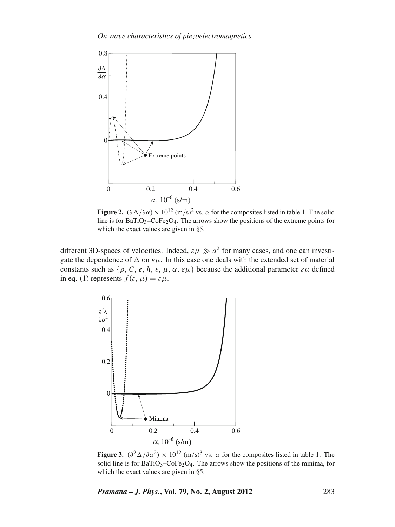

**Figure 2.**  $(\partial \Delta/\partial \alpha) \times 10^{12}$  (m/s)<sup>2</sup> vs.  $\alpha$  for the composites listed in table 1. The solid line is for  $BaTiO<sub>3</sub>$ – $CoFe<sub>2</sub>O<sub>4</sub>$ . The arrows show the positions of the extreme points for which the exact values are given in §5.

different 3D-spaces of velocities. Indeed,  $\varepsilon \mu \gg a^2$  for many cases, and one can investigate the dependence of  $\Delta$  on  $\varepsilon\mu$ . In this case one deals with the extended set of material constants such as  $\{\rho, C, e, h, \varepsilon, \mu, \alpha, \varepsilon\mu\}$  because the additional parameter  $\varepsilon\mu$  defined in eq. (1) represents  $f(\varepsilon, \mu) = \varepsilon \mu$ .



**Figure 3.**  $(\partial^2 \Delta / \partial \alpha^2) \times 10^{12}$  (m/s)<sup>3</sup> vs.  $\alpha$  for the composites listed in table 1. The solid line is for BaTiO<sub>3</sub>–CoFe<sub>2</sub>O<sub>4</sub>. The arrows show the positions of the minima, for which the exact values are given in §5.

*Pramana – J. Phys.***, Vol. 79, No. 2, August 2012** 283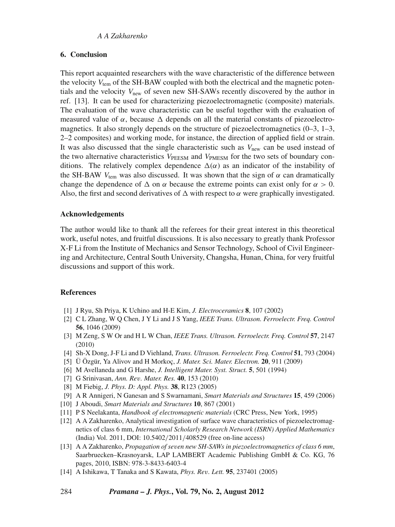## **6. Conclusion**

This report acquainted researchers with the wave characteristic of the difference between the velocity  $V_{\text{tem}}$  of the SH-BAW coupled with both the electrical and the magnetic potentials and the velocity  $V_{\text{new}}$  of seven new SH-SAWs recently discovered by the author in ref. [13]. It can be used for characterizing piezoelectromagnetic (composite) materials. The evaluation of the wave characteristic can be useful together with the evaluation of measured value of  $\alpha$ , because  $\Delta$  depends on all the material constants of piezoelectromagnetics. It also strongly depends on the structure of piezoelectromagnetics  $(0-3, 1-3, 1)$ 2–2 composites) and working mode, for instance, the direction of applied field or strain. It was also discussed that the single characteristic such as  $V_{\text{new}}$  can be used instead of the two alternative characteristics  $V_{\text{PEESM}}$  and  $V_{\text{PMESM}}$  for the two sets of boundary conditions. The relatively complex dependence  $\Delta(\alpha)$  as an indicator of the instability of the SH-BAW  $V_{\text{tem}}$  was also discussed. It was shown that the sign of  $\alpha$  can dramatically change the dependence of  $\Delta$  on  $\alpha$  because the extreme points can exist only for  $\alpha > 0$ . Also, the first and second derivatives of  $\Delta$  with respect to  $\alpha$  were graphically investigated.

### **Acknowledgements**

The author would like to thank all the referees for their great interest in this theoretical work, useful notes, and fruitful discussions. It is also necessary to greatly thank Professor X-F Li from the Institute of Mechanics and Sensor Technology, School of Civil Engineering and Architecture, Central South University, Changsha, Hunan, China, for very fruitful discussions and support of this work.

#### **References**

- [1] J Ryu, Sh Priya, K Uchino and H-E Kim, *J. Electroceramics* **8**, 107 (2002)
- [2] C L Zhang, W Q Chen, J Y Li and J S Yang, *IEEE Trans. Ultrason. Ferroelectr. Freq. Control* **56**, 1046 (2009)
- [3] M Zeng, S W Or and H L W Chan, *IEEE Trans. Ultrason. Ferroelectr. Freq. Control* **57**, 2147 (2010)
- [4] Sh-X Dong, J-F Li and D Viehland, *Trans. Ultrason. Ferroelectr. Freq. Control* **51**, 793 (2004)
- [5] Ü Özgür, Ya Alivov and H Morkoç, *J. Mater. Sci. Mater. Electron.* **20**, 911 (2009)
- [6] M Avellaneda and G Harshe, *J. Intelligent Mater. Syst. Struct.* **5**, 501 (1994)
- [7] G Srinivasan, *Ann. Re*v*. Mater. Res.* **40**, 153 (2010)
- [8] M Fiebig, *J. Phys. D: Appl. Phys.* **38**, R123 (2005)
- [9] A R Annigeri, N Ganesan and S Swarnamani, *Smart Materials and Structures* **15**, 459 (2006)
- [10] J Aboudi, *Smart Materials and Structures* **10**, 867 (2001)
- [11] P S Neelakanta, *Handbook of electromagnetic materials* (CRC Press, New York, 1995)
- [12] A A Zakharenko, Analytical investigation of surface wave characteristics of piezoelectromagnetics of class 6 mm, *International Scholarly Research Network (ISRN) Applied Mathematics* (India) Vol. 2011, DOI: 10.5402/2011/408529 (free on-line access)
- [13] A A Zakharenko, *Propagation of se*v*en new SH-SAWs in piezoelectromagnetics of class 6 mm*, Saarbruecken–Krasnoyarsk, LAP LAMBERT Academic Publishing GmbH & Co. KG, 76 pages, 2010, ISBN: 978-3-8433-6403-4
- [14] A Ishikawa, T Tanaka and S Kawata, *Phys. Re*v*. Lett.* **95**, 237401 (2005)